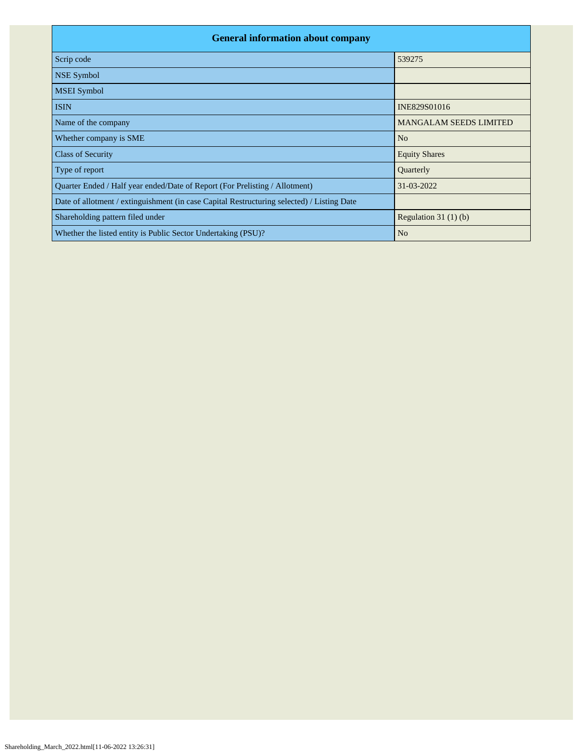| <b>General information about company</b>                                                   |                               |
|--------------------------------------------------------------------------------------------|-------------------------------|
| Scrip code                                                                                 | 539275                        |
| <b>NSE Symbol</b>                                                                          |                               |
| <b>MSEI</b> Symbol                                                                         |                               |
| <b>ISIN</b>                                                                                | INE829S01016                  |
| Name of the company                                                                        | <b>MANGALAM SEEDS LIMITED</b> |
| Whether company is SME                                                                     | N <sub>o</sub>                |
| <b>Class of Security</b>                                                                   | <b>Equity Shares</b>          |
| Type of report                                                                             | Quarterly                     |
| Quarter Ended / Half year ended/Date of Report (For Prelisting / Allotment)                | $31 - 03 - 2022$              |
| Date of allotment / extinguishment (in case Capital Restructuring selected) / Listing Date |                               |
| Shareholding pattern filed under                                                           | Regulation $31(1)(b)$         |
| Whether the listed entity is Public Sector Undertaking (PSU)?                              | N <sub>0</sub>                |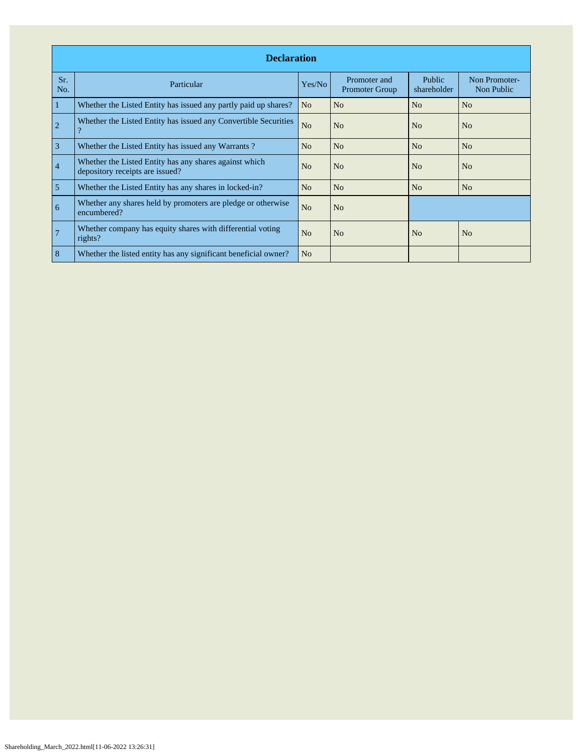|                | <b>Declaration</b>                                                                        |                |                                       |                              |                             |  |  |  |  |  |  |  |
|----------------|-------------------------------------------------------------------------------------------|----------------|---------------------------------------|------------------------------|-----------------------------|--|--|--|--|--|--|--|
| Sr.<br>No.     | Particular                                                                                | Yes/No         | Promoter and<br><b>Promoter Group</b> | <b>Public</b><br>shareholder | Non Promoter-<br>Non Public |  |  |  |  |  |  |  |
| 1              | Whether the Listed Entity has issued any partly paid up shares?                           | N <sub>o</sub> | N <sub>o</sub>                        | No                           | N <sub>o</sub>              |  |  |  |  |  |  |  |
| $\overline{2}$ | Whether the Listed Entity has issued any Convertible Securities<br>$\mathcal{P}$          | N <sub>o</sub> | N <sub>o</sub>                        | No                           | N <sub>o</sub>              |  |  |  |  |  |  |  |
| 3              | Whether the Listed Entity has issued any Warrants?                                        | N <sub>o</sub> | N <sub>o</sub>                        | No                           | No                          |  |  |  |  |  |  |  |
| $\overline{4}$ | Whether the Listed Entity has any shares against which<br>depository receipts are issued? | N <sub>o</sub> | N <sub>o</sub>                        | No                           | N <sub>o</sub>              |  |  |  |  |  |  |  |
| 5              | Whether the Listed Entity has any shares in locked-in?                                    | N <sub>o</sub> | N <sub>o</sub>                        | No                           | N <sub>o</sub>              |  |  |  |  |  |  |  |
| 6              | Whether any shares held by promoters are pledge or otherwise<br>encumbered?               | N <sub>o</sub> | N <sub>o</sub>                        |                              |                             |  |  |  |  |  |  |  |
| $\overline{7}$ | Whether company has equity shares with differential voting<br>rights?                     | N <sub>o</sub> | N <sub>o</sub>                        | N <sub>o</sub>               | N <sub>o</sub>              |  |  |  |  |  |  |  |
| 8              | Whether the listed entity has any significant beneficial owner?                           | N <sub>o</sub> |                                       |                              |                             |  |  |  |  |  |  |  |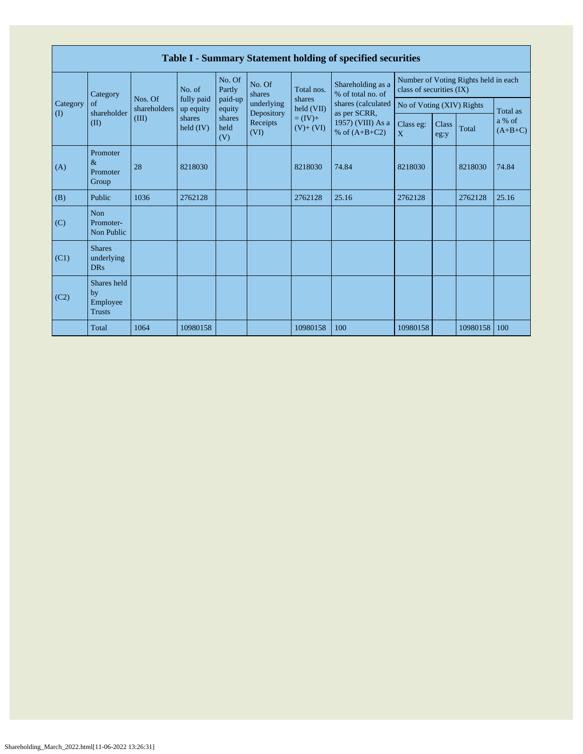|                                        |                                                |                         |                         |                                           |                          |                      | Table I - Summary Statement holding of specified securities |                                                                  |  |                                                                  |          |                           |               |       |                     |
|----------------------------------------|------------------------------------------------|-------------------------|-------------------------|-------------------------------------------|--------------------------|----------------------|-------------------------------------------------------------|------------------------------------------------------------------|--|------------------------------------------------------------------|----------|---------------------------|---------------|-------|---------------------|
|                                        | Category                                       |                         | No. of                  | No. Of<br>Partly                          | No. Of<br>shares         | Total nos.           | Shareholding as a<br>% of total no. of                      | Number of Voting Rights held in each<br>class of securities (IX) |  |                                                                  |          |                           |               |       |                     |
| Category<br>$\left( \mathrm{I}\right)$ | of<br>shareholder                              | Nos. Of<br>shareholders | fully paid<br>up equity | paid-up<br>equity                         | underlying<br>Depository | shares<br>held (VII) | shares (calculated<br>as per SCRR,                          | No of Voting (XIV) Rights                                        |  |                                                                  | Total as |                           |               |       |                     |
|                                        | (II)                                           | (III)                   | shares<br>held $(IV)$   | shares<br>Receipts<br>held<br>(VI)<br>(V) |                          |                      |                                                             |                                                                  |  | $= (IV) +$<br>1957) (VIII) As a<br>$(V)+(VI)$<br>% of $(A+B+C2)$ |          | Class eg:<br>$\mathbf{X}$ | Class<br>eg:y | Total | a % of<br>$(A+B+C)$ |
| (A)                                    | Promoter<br>$\&$<br>Promoter<br>Group          | 28                      | 8218030                 |                                           |                          | 8218030              | 74.84                                                       | 8218030                                                          |  | 8218030                                                          | 74.84    |                           |               |       |                     |
| (B)                                    | Public                                         | 1036                    | 2762128                 |                                           |                          | 2762128              | 25.16                                                       | 2762128                                                          |  | 2762128                                                          | 25.16    |                           |               |       |                     |
| (C)                                    | Non<br>Promoter-<br>Non Public                 |                         |                         |                                           |                          |                      |                                                             |                                                                  |  |                                                                  |          |                           |               |       |                     |
| (C1)                                   | <b>Shares</b><br>underlying<br><b>DRs</b>      |                         |                         |                                           |                          |                      |                                                             |                                                                  |  |                                                                  |          |                           |               |       |                     |
| (C2)                                   | Shares held<br>by<br>Employee<br><b>Trusts</b> |                         |                         |                                           |                          |                      |                                                             |                                                                  |  |                                                                  |          |                           |               |       |                     |
|                                        | Total                                          | 1064                    | 10980158                |                                           |                          | 10980158             | 100                                                         | 10980158                                                         |  | 10980158                                                         | 100      |                           |               |       |                     |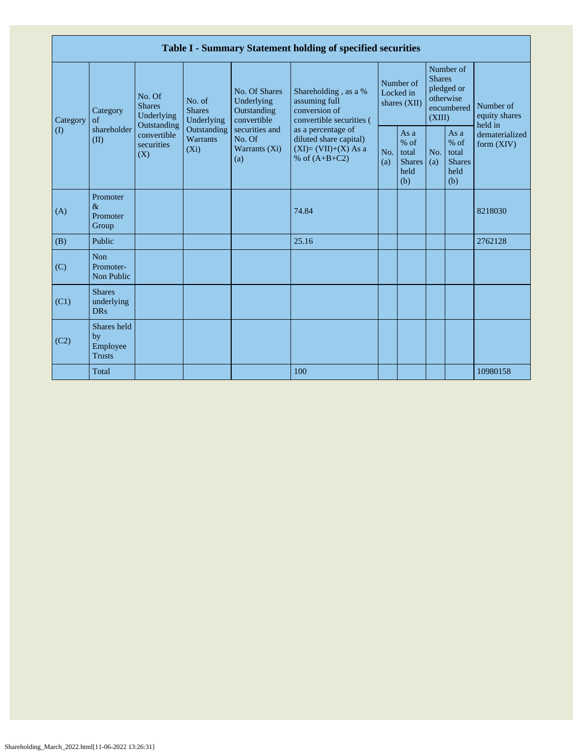|          |                                                |                                                      |                                           |                                                           | Table I - Summary Statement holding of specified securities                                                  |            |                                                                    |            |                                                         |                                       |
|----------|------------------------------------------------|------------------------------------------------------|-------------------------------------------|-----------------------------------------------------------|--------------------------------------------------------------------------------------------------------------|------------|--------------------------------------------------------------------|------------|---------------------------------------------------------|---------------------------------------|
| Category | Category<br>$\alpha$ f                         | No. Of<br><b>Shares</b><br>Underlying<br>Outstanding | No. of<br><b>Shares</b><br>Underlying     | No. Of Shares<br>Underlying<br>Outstanding<br>convertible | Number of<br>Shareholding, as a %<br>Locked in<br>assuming full<br>conversion of<br>convertible securities ( |            | <b>Shares</b><br>pledged or<br>otherwise<br>shares (XII)<br>(XIII) |            | Number of<br>encumbered                                 | Number of<br>equity shares<br>held in |
| (1)      | shareholder<br>(II)                            | convertible<br>securities<br>(X)                     | Outstanding<br><b>Warrants</b><br>$(X_i)$ | securities and<br>No. Of<br>Warrants (Xi)<br>(a)          | as a percentage of<br>diluted share capital)<br>$(XI)=(VII)+(X) As a$<br>% of $(A+B+C2)$                     | No.<br>(a) | As a<br>$%$ of<br>total<br><b>Shares</b><br>held<br>(b)            | No.<br>(a) | As a<br>$%$ of<br>total<br><b>Shares</b><br>held<br>(b) | dematerialized<br>form $(XIV)$        |
| (A)      | Promoter<br>$\&$<br>Promoter<br>Group          |                                                      |                                           |                                                           | 74.84                                                                                                        |            |                                                                    |            |                                                         | 8218030                               |
| (B)      | Public                                         |                                                      |                                           |                                                           | 25.16                                                                                                        |            |                                                                    |            |                                                         | 2762128                               |
| (C)      | <b>Non</b><br>Promoter-<br>Non Public          |                                                      |                                           |                                                           |                                                                                                              |            |                                                                    |            |                                                         |                                       |
| (C1)     | <b>Shares</b><br>underlying<br><b>DRs</b>      |                                                      |                                           |                                                           |                                                                                                              |            |                                                                    |            |                                                         |                                       |
| (C2)     | Shares held<br>by<br>Employee<br><b>Trusts</b> |                                                      |                                           |                                                           |                                                                                                              |            |                                                                    |            |                                                         |                                       |
|          | Total                                          |                                                      |                                           |                                                           | 100                                                                                                          |            |                                                                    |            |                                                         | 10980158                              |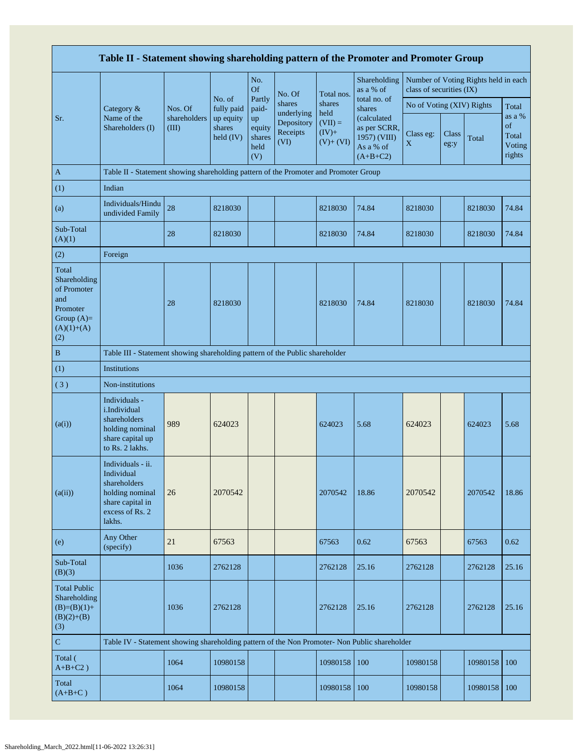|                                                                                                | Table II - Statement showing shareholding pattern of the Promoter and Promoter Group                                |                       |                                  |                                       |                                              |                                            |                                                                         |                                                                  |               |          |                                           |
|------------------------------------------------------------------------------------------------|---------------------------------------------------------------------------------------------------------------------|-----------------------|----------------------------------|---------------------------------------|----------------------------------------------|--------------------------------------------|-------------------------------------------------------------------------|------------------------------------------------------------------|---------------|----------|-------------------------------------------|
|                                                                                                |                                                                                                                     |                       |                                  | No.<br><b>Of</b>                      | No. Of                                       | Total nos.                                 | Shareholding<br>as a % of                                               | Number of Voting Rights held in each<br>class of securities (IX) |               |          |                                           |
|                                                                                                | Category &                                                                                                          | Nos. Of               | No. of<br>fully paid             | Partly<br>paid-                       | shares                                       | shares                                     | total no. of<br>shares                                                  | No of Voting (XIV) Rights                                        |               |          | Total                                     |
| Sr.                                                                                            | Name of the<br>Shareholders (I)                                                                                     | shareholders<br>(III) | up equity<br>shares<br>held (IV) | up<br>equity<br>shares<br>held<br>(V) | underlying<br>Depository<br>Receipts<br>(VI) | held<br>$(VII) =$<br>$(IV)+$<br>$(V)+(VI)$ | (calculated)<br>as per SCRR,<br>1957) (VIII)<br>As a % of<br>$(A+B+C2)$ | Class eg:<br>X                                                   | Class<br>eg:y | Total    | as a %<br>of<br>Total<br>Voting<br>rights |
| $\mathbf{A}$                                                                                   | Table II - Statement showing shareholding pattern of the Promoter and Promoter Group                                |                       |                                  |                                       |                                              |                                            |                                                                         |                                                                  |               |          |                                           |
| (1)                                                                                            | Indian                                                                                                              |                       |                                  |                                       |                                              |                                            |                                                                         |                                                                  |               |          |                                           |
| (a)                                                                                            | Individuals/Hindu<br>undivided Family                                                                               | 28                    | 8218030                          |                                       |                                              | 8218030                                    | 74.84                                                                   | 8218030                                                          |               | 8218030  | 74.84                                     |
| Sub-Total<br>(A)(1)                                                                            |                                                                                                                     | 28                    | 8218030                          |                                       |                                              | 8218030                                    | 74.84                                                                   | 8218030                                                          |               | 8218030  | 74.84                                     |
| (2)                                                                                            | Foreign                                                                                                             |                       |                                  |                                       |                                              |                                            |                                                                         |                                                                  |               |          |                                           |
| Total<br>Shareholding<br>of Promoter<br>and<br>Promoter<br>Group $(A)=$<br>$(A)(1)+(A)$<br>(2) |                                                                                                                     | 28                    | 8218030                          |                                       |                                              | 8218030                                    | 74.84                                                                   | 8218030                                                          |               | 8218030  | 74.84                                     |
| $\, {\bf B}$                                                                                   | Table III - Statement showing shareholding pattern of the Public shareholder                                        |                       |                                  |                                       |                                              |                                            |                                                                         |                                                                  |               |          |                                           |
| (1)                                                                                            | <b>Institutions</b>                                                                                                 |                       |                                  |                                       |                                              |                                            |                                                                         |                                                                  |               |          |                                           |
| (3)                                                                                            | Non-institutions                                                                                                    |                       |                                  |                                       |                                              |                                            |                                                                         |                                                                  |               |          |                                           |
| (a(i))                                                                                         | Individuals -<br>i.Individual<br>shareholders<br>holding nominal<br>share capital up<br>to Rs. 2 lakhs.             | 989                   | 624023                           |                                       |                                              | 624023                                     | 5.68                                                                    | 624023                                                           |               | 624023   | 5.68                                      |
| (a(ii))                                                                                        | Individuals - ii.<br>Individual<br>shareholders<br>holding nominal<br>share capital in<br>excess of Rs. 2<br>lakhs. | 26                    | 2070542                          |                                       |                                              | 2070542                                    | 18.86                                                                   | 2070542                                                          |               | 2070542  | 18.86                                     |
| (e)                                                                                            | Any Other<br>(specify)                                                                                              | 21                    | 67563                            |                                       |                                              | 67563                                      | 0.62                                                                    | 67563                                                            |               | 67563    | 0.62                                      |
| Sub-Total<br>(B)(3)                                                                            |                                                                                                                     | 1036                  | 2762128                          |                                       |                                              | 2762128                                    | 25.16                                                                   | 2762128                                                          |               | 2762128  | 25.16                                     |
| <b>Total Public</b><br>Shareholding<br>$(B)=(B)(1)+$<br>$(B)(2)+(B)$<br>(3)                    |                                                                                                                     | 1036                  | 2762128                          |                                       |                                              | 2762128                                    | 25.16                                                                   | 2762128                                                          |               | 2762128  | 25.16                                     |
| $\mathbf C$                                                                                    | Table IV - Statement showing shareholding pattern of the Non Promoter- Non Public shareholder                       |                       |                                  |                                       |                                              |                                            |                                                                         |                                                                  |               |          |                                           |
| Total (<br>$A+B+C2$ )                                                                          |                                                                                                                     | 1064                  | 10980158                         |                                       |                                              | 10980158                                   | 100                                                                     | 10980158                                                         |               | 10980158 | 100                                       |
| Total<br>$(A+B+C)$                                                                             |                                                                                                                     | 1064                  | 10980158                         |                                       |                                              | 10980158                                   | 100                                                                     | 10980158                                                         |               | 10980158 | 100                                       |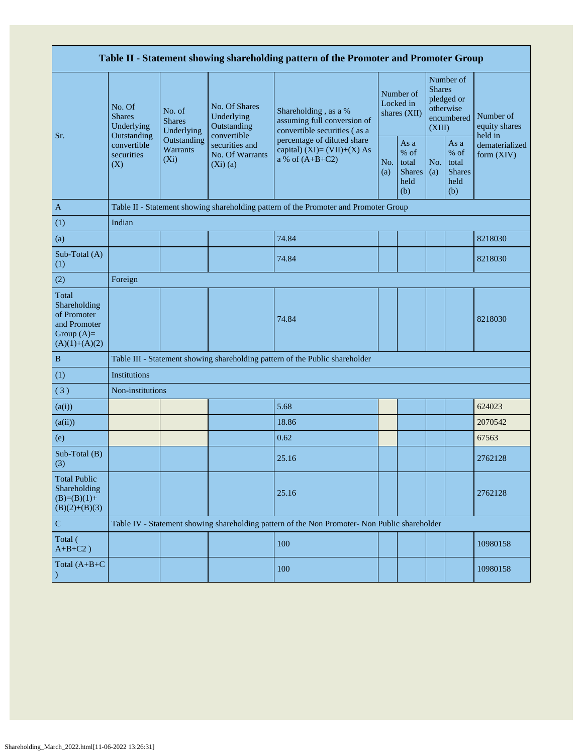|                                                                                         |                                                 |                                           |                                                           | Table II - Statement showing shareholding pattern of the Promoter and Promoter Group          |            |                                                         |                         |                                                       |                                       |
|-----------------------------------------------------------------------------------------|-------------------------------------------------|-------------------------------------------|-----------------------------------------------------------|-----------------------------------------------------------------------------------------------|------------|---------------------------------------------------------|-------------------------|-------------------------------------------------------|---------------------------------------|
|                                                                                         | No. Of<br><b>Shares</b><br>Underlying           | No. of<br><b>Shares</b><br>Underlying     | No. Of Shares<br>Underlying<br>Outstanding<br>convertible | Shareholding, as a %<br>assuming full conversion of<br>convertible securities (as a           |            | Number of<br>Locked in<br>shares (XII)                  | <b>Shares</b><br>(XIII) | Number of<br>pledged or<br>otherwise<br>encumbered    | Number of<br>equity shares<br>held in |
| Sr.                                                                                     | Outstanding<br>convertible<br>securities<br>(X) | Outstanding<br><b>Warrants</b><br>$(X_i)$ | securities and<br>No. Of Warrants<br>$(Xi)$ $(a)$         | percentage of diluted share<br>capital) $(XI) = (VII)+(X) As$<br>a % of $(A+B+C2)$            | No.<br>(a) | As a<br>$%$ of<br>total<br><b>Shares</b><br>held<br>(b) | No.<br>(a)              | As a<br>% of<br>total<br><b>Shares</b><br>held<br>(b) | dematerialized<br>form (XIV)          |
| A                                                                                       |                                                 |                                           |                                                           | Table II - Statement showing shareholding pattern of the Promoter and Promoter Group          |            |                                                         |                         |                                                       |                                       |
| (1)                                                                                     | Indian                                          |                                           |                                                           |                                                                                               |            |                                                         |                         |                                                       |                                       |
| (a)                                                                                     |                                                 |                                           |                                                           | 74.84                                                                                         |            |                                                         |                         |                                                       | 8218030                               |
| Sub-Total (A)<br>(1)                                                                    |                                                 |                                           |                                                           | 74.84                                                                                         |            |                                                         |                         |                                                       | 8218030                               |
| (2)                                                                                     | Foreign                                         |                                           |                                                           |                                                                                               |            |                                                         |                         |                                                       |                                       |
| Total<br>Shareholding<br>of Promoter<br>and Promoter<br>Group $(A)=$<br>$(A)(1)+(A)(2)$ |                                                 |                                           |                                                           | 74.84                                                                                         |            |                                                         |                         |                                                       | 8218030                               |
| $\, {\bf B}$                                                                            |                                                 |                                           |                                                           | Table III - Statement showing shareholding pattern of the Public shareholder                  |            |                                                         |                         |                                                       |                                       |
| (1)                                                                                     | Institutions                                    |                                           |                                                           |                                                                                               |            |                                                         |                         |                                                       |                                       |
| (3)                                                                                     | Non-institutions                                |                                           |                                                           |                                                                                               |            |                                                         |                         |                                                       |                                       |
| (a(i))                                                                                  |                                                 |                                           |                                                           | 5.68                                                                                          |            |                                                         |                         |                                                       | 624023                                |
| (a(ii))                                                                                 |                                                 |                                           |                                                           | 18.86                                                                                         |            |                                                         |                         |                                                       | 2070542                               |
| (e)                                                                                     |                                                 |                                           |                                                           | 0.62                                                                                          |            |                                                         |                         |                                                       | 67563                                 |
| Sub-Total (B)<br>(3)                                                                    |                                                 |                                           |                                                           | 25.16                                                                                         |            |                                                         |                         |                                                       | 2762128                               |
| <b>Total Public</b><br>Shareholding<br>$(B)=(B)(1)+$<br>$(B)(2)+(B)(3)$                 |                                                 |                                           |                                                           | 25.16                                                                                         |            |                                                         |                         |                                                       | 2762128                               |
| $\mathbf C$                                                                             |                                                 |                                           |                                                           | Table IV - Statement showing shareholding pattern of the Non Promoter- Non Public shareholder |            |                                                         |                         |                                                       |                                       |
| Total (<br>$A+B+C2$ )                                                                   |                                                 |                                           |                                                           | 100                                                                                           |            |                                                         |                         |                                                       | 10980158                              |
| Total $(A+B+C)$                                                                         |                                                 |                                           |                                                           | 100                                                                                           |            |                                                         |                         |                                                       | 10980158                              |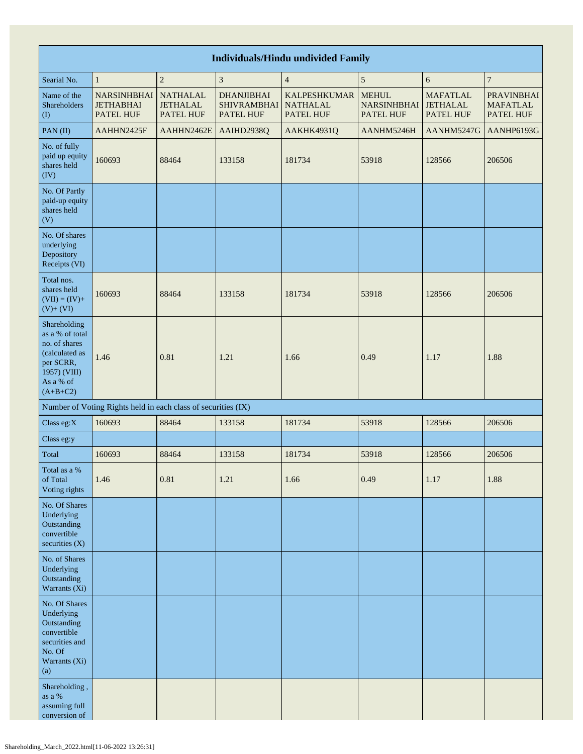| <b>Individuals/Hindu undivided Family</b>                                                                                  |                                                               |                                                        |                                                      |                                                            |                                                        |                                                 |                                                   |  |  |  |  |  |
|----------------------------------------------------------------------------------------------------------------------------|---------------------------------------------------------------|--------------------------------------------------------|------------------------------------------------------|------------------------------------------------------------|--------------------------------------------------------|-------------------------------------------------|---------------------------------------------------|--|--|--|--|--|
| Searial No.                                                                                                                | $\mathbf{1}$                                                  | $\overline{c}$                                         | 3                                                    | $\overline{4}$                                             | $\sqrt{5}$                                             | 6                                               | $\boldsymbol{7}$                                  |  |  |  |  |  |
| Name of the<br>Shareholders<br>(1)                                                                                         | <b>NARSINHBHAI</b><br><b>JETHABHAI</b><br>PATEL HUF           | <b>NATHALAL</b><br><b>JETHALAL</b><br><b>PATEL HUF</b> | <b>DHANJIBHAI</b><br><b>SHIVRAMBHAI</b><br>PATEL HUF | <b>KALPESHKUMAR</b><br><b>NATHALAL</b><br><b>PATEL HUF</b> | <b>MEHUL</b><br><b>NARSINHBHAI</b><br><b>PATEL HUF</b> | <b>MAFATLAL</b><br><b>JETHALAL</b><br>PATEL HUF | <b>PRAVINBHAI</b><br><b>MAFATLAL</b><br>PATEL HUF |  |  |  |  |  |
| PAN(II)                                                                                                                    | AAHHN2425F                                                    | AAHHN2462E                                             | AAIHD2938Q                                           | AAKHK4931Q                                                 | AANHM5246H                                             | AANHM5247G                                      | AANHP6193G                                        |  |  |  |  |  |
| No. of fully<br>paid up equity<br>shares held<br>(IV)                                                                      | 160693                                                        | 88464                                                  | 133158                                               | 181734                                                     | 53918                                                  | 128566                                          | 206506                                            |  |  |  |  |  |
| No. Of Partly<br>paid-up equity<br>shares held<br>(V)                                                                      |                                                               |                                                        |                                                      |                                                            |                                                        |                                                 |                                                   |  |  |  |  |  |
| No. Of shares<br>underlying<br>Depository<br>Receipts (VI)                                                                 |                                                               |                                                        |                                                      |                                                            |                                                        |                                                 |                                                   |  |  |  |  |  |
| Total nos.<br>shares held<br>$(VII) = (IV) +$<br>$(V) + (VI)$                                                              | 160693                                                        | 88464                                                  | 133158                                               | 181734                                                     | 53918                                                  | 128566                                          | 206506                                            |  |  |  |  |  |
| Shareholding<br>as a % of total<br>no. of shares<br>(calculated as<br>per SCRR,<br>1957) (VIII)<br>As a % of<br>$(A+B+C2)$ | 1.46                                                          | 0.81                                                   | 1.21                                                 | 1.66                                                       | 0.49                                                   | 1.17                                            | 1.88                                              |  |  |  |  |  |
|                                                                                                                            | Number of Voting Rights held in each class of securities (IX) |                                                        |                                                      |                                                            |                                                        |                                                 |                                                   |  |  |  |  |  |
| Class eg:X                                                                                                                 | 160693                                                        | 88464                                                  | 133158                                               | 181734                                                     | 53918                                                  | 128566                                          | 206506                                            |  |  |  |  |  |
| Class eg:y                                                                                                                 |                                                               |                                                        |                                                      |                                                            |                                                        |                                                 |                                                   |  |  |  |  |  |
| Total                                                                                                                      | 160693                                                        | 88464                                                  | 133158                                               | 181734                                                     | 53918                                                  | 128566                                          | 206506                                            |  |  |  |  |  |
| Total as a %<br>of Total<br>Voting rights                                                                                  | 1.46                                                          | 0.81                                                   | 1.21                                                 | 1.66                                                       | 0.49                                                   | 1.17                                            | 1.88                                              |  |  |  |  |  |
| No. Of Shares<br>Underlying<br>Outstanding<br>convertible<br>securities $(X)$                                              |                                                               |                                                        |                                                      |                                                            |                                                        |                                                 |                                                   |  |  |  |  |  |
| No. of Shares<br>Underlying<br>Outstanding<br>Warrants (Xi)                                                                |                                                               |                                                        |                                                      |                                                            |                                                        |                                                 |                                                   |  |  |  |  |  |
| No. Of Shares<br>Underlying<br>Outstanding<br>convertible<br>securities and<br>No. Of<br>Warrants (Xi)<br>(a)              |                                                               |                                                        |                                                      |                                                            |                                                        |                                                 |                                                   |  |  |  |  |  |
| Shareholding,<br>as a $\%$<br>assuming full<br>conversion of                                                               |                                                               |                                                        |                                                      |                                                            |                                                        |                                                 |                                                   |  |  |  |  |  |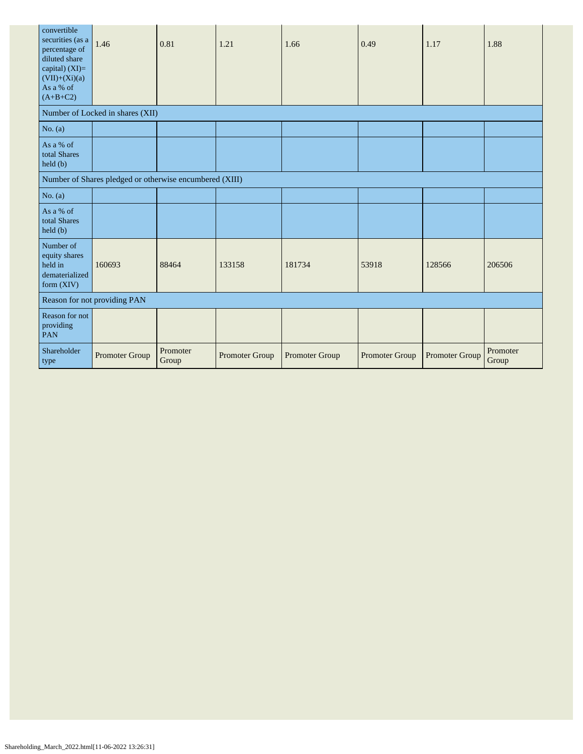| convertible<br>securities (as a<br>percentage of<br>diluted share<br>capital) (XI)=<br>$(VII)+(Xi)(a)$<br>As a % of<br>$(A+B+C2)$ | 1.46                                                    | 0.81              | 1.21           | 1.66           | 0.49           | 1.17           | 1.88              |
|-----------------------------------------------------------------------------------------------------------------------------------|---------------------------------------------------------|-------------------|----------------|----------------|----------------|----------------|-------------------|
|                                                                                                                                   | Number of Locked in shares (XII)                        |                   |                |                |                |                |                   |
| No. $(a)$                                                                                                                         |                                                         |                   |                |                |                |                |                   |
| As a % of<br>total Shares<br>held(b)                                                                                              |                                                         |                   |                |                |                |                |                   |
|                                                                                                                                   | Number of Shares pledged or otherwise encumbered (XIII) |                   |                |                |                |                |                   |
| No. $(a)$                                                                                                                         |                                                         |                   |                |                |                |                |                   |
| As a % of<br>total Shares<br>held(b)                                                                                              |                                                         |                   |                |                |                |                |                   |
| Number of<br>equity shares<br>held in<br>dematerialized<br>form $(XIV)$                                                           | 160693                                                  | 88464             | 133158         | 181734         | 53918          | 128566         | 206506            |
|                                                                                                                                   | Reason for not providing PAN                            |                   |                |                |                |                |                   |
| Reason for not<br>providing<br>PAN                                                                                                |                                                         |                   |                |                |                |                |                   |
| Shareholder<br>type                                                                                                               | Promoter Group                                          | Promoter<br>Group | Promoter Group | Promoter Group | Promoter Group | Promoter Group | Promoter<br>Group |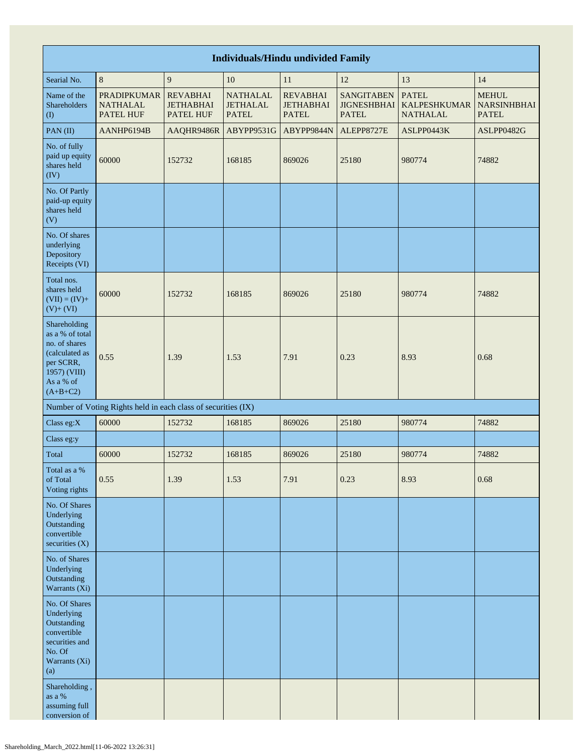| <b>Individuals/Hindu undivided Family</b>                                                                                  |                                                               |                                                         |                                                    |                                                     |                                                         |                                                        |                                                    |  |  |  |  |  |
|----------------------------------------------------------------------------------------------------------------------------|---------------------------------------------------------------|---------------------------------------------------------|----------------------------------------------------|-----------------------------------------------------|---------------------------------------------------------|--------------------------------------------------------|----------------------------------------------------|--|--|--|--|--|
| Searial No.                                                                                                                | $\,8\,$                                                       | $\overline{9}$                                          | 10                                                 | 11                                                  | 12                                                      | 13                                                     | 14                                                 |  |  |  |  |  |
| Name of the<br>Shareholders<br>(1)                                                                                         | <b>PRADIPKUMAR</b><br><b>NATHALAL</b><br><b>PATEL HUF</b>     | <b>REVABHAI</b><br><b>JETHABHAI</b><br><b>PATEL HUF</b> | <b>NATHALAL</b><br><b>JETHALAL</b><br><b>PATEL</b> | <b>REVABHAI</b><br><b>JETHABHAI</b><br><b>PATEL</b> | <b>SANGITABEN</b><br><b>JIGNESHBHAI</b><br><b>PATEL</b> | <b>PATEL</b><br><b>KALPESHKUMAR</b><br><b>NATHALAL</b> | <b>MEHUL</b><br><b>NARSINHBHAI</b><br><b>PATEL</b> |  |  |  |  |  |
| PAN(II)                                                                                                                    | AANHP6194B                                                    | AAQHR9486R                                              | ABYPP9531G                                         | ABYPP9844N                                          | ALEPP8727E                                              | ASLPP0443K                                             | ASLPP0482G                                         |  |  |  |  |  |
| No. of fully<br>paid up equity<br>shares held<br>(IV)                                                                      | 60000                                                         | 152732                                                  | 168185                                             | 869026                                              | 25180                                                   | 980774                                                 | 74882                                              |  |  |  |  |  |
| No. Of Partly<br>paid-up equity<br>shares held<br>(V)                                                                      |                                                               |                                                         |                                                    |                                                     |                                                         |                                                        |                                                    |  |  |  |  |  |
| No. Of shares<br>underlying<br>Depository<br>Receipts (VI)                                                                 |                                                               |                                                         |                                                    |                                                     |                                                         |                                                        |                                                    |  |  |  |  |  |
| Total nos.<br>shares held<br>$(VII) = (IV) +$<br>$(V)$ + $(VI)$                                                            | 60000                                                         | 152732                                                  | 168185                                             | 869026                                              | 25180                                                   | 980774                                                 | 74882                                              |  |  |  |  |  |
| Shareholding<br>as a % of total<br>no. of shares<br>(calculated as<br>per SCRR,<br>1957) (VIII)<br>As a % of<br>$(A+B+C2)$ | 0.55                                                          | 1.39                                                    | 1.53                                               | 7.91                                                | 0.23                                                    | 8.93                                                   | 0.68                                               |  |  |  |  |  |
|                                                                                                                            | Number of Voting Rights held in each class of securities (IX) |                                                         |                                                    |                                                     |                                                         |                                                        |                                                    |  |  |  |  |  |
| Class eg:X                                                                                                                 | 60000                                                         | 152732                                                  | 168185                                             | 869026                                              | 25180                                                   | 980774                                                 | 74882                                              |  |  |  |  |  |
| Class eg:y                                                                                                                 |                                                               |                                                         |                                                    |                                                     |                                                         |                                                        |                                                    |  |  |  |  |  |
| Total                                                                                                                      | 60000                                                         | 152732                                                  | 168185                                             | 869026                                              | 25180                                                   | 980774                                                 | 74882                                              |  |  |  |  |  |
| Total as a $\%$<br>of Total<br>Voting rights                                                                               | 0.55                                                          | 1.39                                                    | 1.53                                               | 7.91                                                | 0.23                                                    | 8.93                                                   | 0.68                                               |  |  |  |  |  |
| No. Of Shares<br>Underlying<br>Outstanding<br>convertible<br>securities $(X)$                                              |                                                               |                                                         |                                                    |                                                     |                                                         |                                                        |                                                    |  |  |  |  |  |
| No. of Shares<br>Underlying<br>Outstanding<br>Warrants (Xi)                                                                |                                                               |                                                         |                                                    |                                                     |                                                         |                                                        |                                                    |  |  |  |  |  |
| No. Of Shares<br>Underlying<br>Outstanding<br>convertible<br>securities and<br>No. Of<br>Warrants (Xi)<br>(a)              |                                                               |                                                         |                                                    |                                                     |                                                         |                                                        |                                                    |  |  |  |  |  |
| Shareholding,<br>as a $\%$<br>assuming full<br>conversion of                                                               |                                                               |                                                         |                                                    |                                                     |                                                         |                                                        |                                                    |  |  |  |  |  |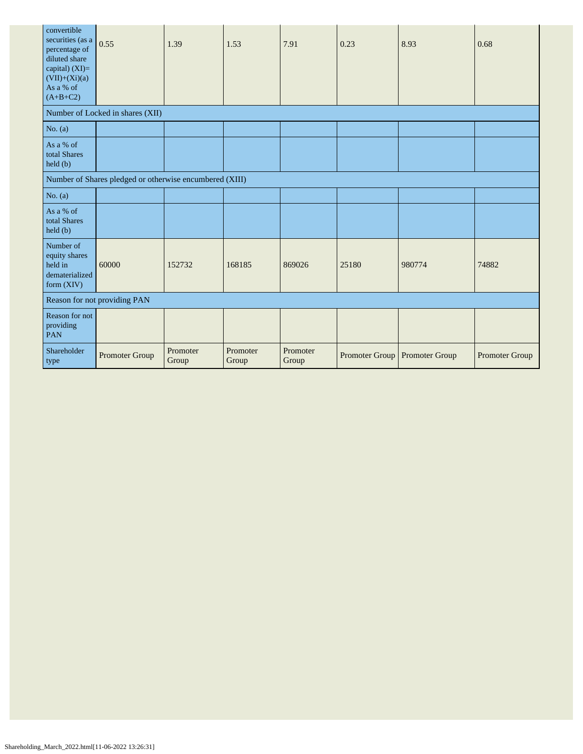| convertible<br>securities (as a<br>percentage of<br>diluted share<br>capital) $(XI)=$<br>$(VII)+(Xi)(a)$<br>As a % of<br>$(A+B+C2)$ | 0.55                                                    | 1.39              | 1.53              | 7.91              | 0.23                          | 8.93   | 0.68           |
|-------------------------------------------------------------------------------------------------------------------------------------|---------------------------------------------------------|-------------------|-------------------|-------------------|-------------------------------|--------|----------------|
|                                                                                                                                     | Number of Locked in shares (XII)                        |                   |                   |                   |                               |        |                |
| No. $(a)$                                                                                                                           |                                                         |                   |                   |                   |                               |        |                |
| As a % of<br>total Shares<br>held (b)                                                                                               |                                                         |                   |                   |                   |                               |        |                |
|                                                                                                                                     | Number of Shares pledged or otherwise encumbered (XIII) |                   |                   |                   |                               |        |                |
| No. $(a)$                                                                                                                           |                                                         |                   |                   |                   |                               |        |                |
| As a % of<br>total Shares<br>held (b)                                                                                               |                                                         |                   |                   |                   |                               |        |                |
| Number of<br>equity shares<br>held in<br>dematerialized<br>form (XIV)                                                               | 60000                                                   | 152732            | 168185            | 869026            | 25180                         | 980774 | 74882          |
|                                                                                                                                     | Reason for not providing PAN                            |                   |                   |                   |                               |        |                |
| Reason for not<br>providing<br>PAN                                                                                                  |                                                         |                   |                   |                   |                               |        |                |
| Shareholder<br>type                                                                                                                 | Promoter Group                                          | Promoter<br>Group | Promoter<br>Group | Promoter<br>Group | Promoter Group Promoter Group |        | Promoter Group |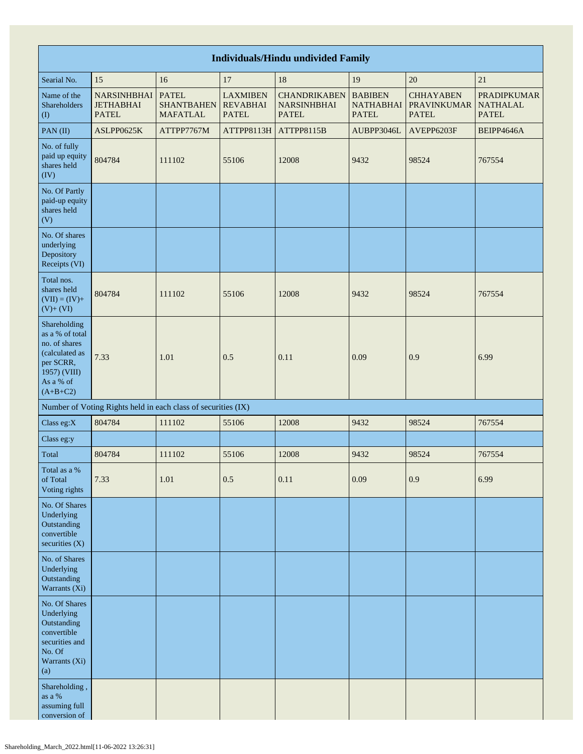| <b>Individuals/Hindu undivided Family</b>                                                                                  |                                                               |                                                      |                                                    |                                                           |                                                    |                                                        |                                                       |  |  |  |  |  |
|----------------------------------------------------------------------------------------------------------------------------|---------------------------------------------------------------|------------------------------------------------------|----------------------------------------------------|-----------------------------------------------------------|----------------------------------------------------|--------------------------------------------------------|-------------------------------------------------------|--|--|--|--|--|
| Searial No.                                                                                                                | 15                                                            | 16                                                   | 17                                                 | 18                                                        | 19                                                 | 20                                                     | 21                                                    |  |  |  |  |  |
| Name of the<br>Shareholders<br>(1)                                                                                         | <b>NARSINHBHAI</b><br><b>JETHABHAI</b><br><b>PATEL</b>        | <b>PATEL</b><br><b>SHANTBAHEN</b><br><b>MAFATLAL</b> | <b>LAXMIBEN</b><br><b>REVABHAI</b><br><b>PATEL</b> | <b>CHANDRIKABEN</b><br><b>NARSINHBHAI</b><br><b>PATEL</b> | <b>BABIBEN</b><br><b>NATHABHAI</b><br><b>PATEL</b> | <b>CHHAYABEN</b><br><b>PRAVINKUMAR</b><br><b>PATEL</b> | <b>PRADIPKUMAR</b><br><b>NATHALAL</b><br><b>PATEL</b> |  |  |  |  |  |
| PAN(II)                                                                                                                    | ASLPP0625K                                                    | ATTPP7767M                                           | ATTPP8113H                                         | ATTPP8115B                                                | AUBPP3046L                                         | AVEPP6203F                                             | BEIPP4646A                                            |  |  |  |  |  |
| No. of fully<br>paid up equity<br>shares held<br>(IV)                                                                      | 804784                                                        | 111102                                               | 55106                                              | 12008                                                     | 9432                                               | 98524                                                  | 767554                                                |  |  |  |  |  |
| No. Of Partly<br>paid-up equity<br>shares held<br>(V)                                                                      |                                                               |                                                      |                                                    |                                                           |                                                    |                                                        |                                                       |  |  |  |  |  |
| No. Of shares<br>underlying<br>Depository<br>Receipts (VI)                                                                 |                                                               |                                                      |                                                    |                                                           |                                                    |                                                        |                                                       |  |  |  |  |  |
| Total nos.<br>shares held<br>$(VII) = (IV) +$<br>$(V) + (VI)$                                                              | 804784                                                        | 111102                                               | 55106                                              | 12008                                                     | 9432                                               | 98524                                                  | 767554                                                |  |  |  |  |  |
| Shareholding<br>as a % of total<br>no. of shares<br>(calculated as<br>per SCRR,<br>1957) (VIII)<br>As a % of<br>$(A+B+C2)$ | 7.33                                                          | 1.01                                                 | 0.5                                                | 0.11                                                      | 0.09                                               | 0.9                                                    | 6.99                                                  |  |  |  |  |  |
|                                                                                                                            | Number of Voting Rights held in each class of securities (IX) |                                                      |                                                    |                                                           |                                                    |                                                        |                                                       |  |  |  |  |  |
| Class eg:X                                                                                                                 | 804784                                                        | 111102                                               | 55106                                              | 12008                                                     | 9432                                               | 98524                                                  | 767554                                                |  |  |  |  |  |
| Class eg:y                                                                                                                 |                                                               |                                                      |                                                    |                                                           |                                                    |                                                        |                                                       |  |  |  |  |  |
| Total                                                                                                                      | 804784                                                        | 111102                                               | 55106                                              | 12008                                                     | 9432                                               | 98524                                                  | 767554                                                |  |  |  |  |  |
| Total as a $\%$<br>of Total<br>Voting rights                                                                               | 7.33                                                          | 1.01                                                 | 0.5                                                | 0.11                                                      | 0.09                                               | 0.9                                                    | 6.99                                                  |  |  |  |  |  |
| No. Of Shares<br>Underlying<br>Outstanding<br>convertible<br>securities $(X)$                                              |                                                               |                                                      |                                                    |                                                           |                                                    |                                                        |                                                       |  |  |  |  |  |
| No. of Shares<br>Underlying<br>Outstanding<br>Warrants (Xi)                                                                |                                                               |                                                      |                                                    |                                                           |                                                    |                                                        |                                                       |  |  |  |  |  |
| No. Of Shares<br>Underlying<br>Outstanding<br>convertible<br>securities and<br>No. Of<br>Warrants (Xi)<br>(a)              |                                                               |                                                      |                                                    |                                                           |                                                    |                                                        |                                                       |  |  |  |  |  |
| Shareholding,<br>as a $\%$<br>assuming full<br>conversion of                                                               |                                                               |                                                      |                                                    |                                                           |                                                    |                                                        |                                                       |  |  |  |  |  |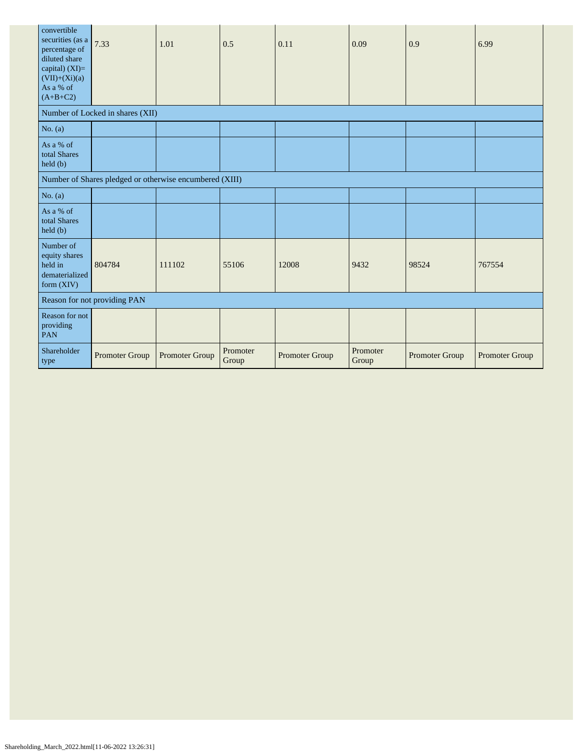| convertible<br>securities (as a<br>percentage of<br>diluted share<br>capital) (XI)=<br>$(VII)+(Xi)(a)$<br>As a % of<br>$(A+B+C2)$ | 7.33                                                    | 1.01           | 0.5               | 0.11           | 0.09              | 0.9            | 6.99           |
|-----------------------------------------------------------------------------------------------------------------------------------|---------------------------------------------------------|----------------|-------------------|----------------|-------------------|----------------|----------------|
|                                                                                                                                   | Number of Locked in shares (XII)                        |                |                   |                |                   |                |                |
| No. $(a)$                                                                                                                         |                                                         |                |                   |                |                   |                |                |
| As a % of<br>total Shares<br>held(b)                                                                                              |                                                         |                |                   |                |                   |                |                |
|                                                                                                                                   | Number of Shares pledged or otherwise encumbered (XIII) |                |                   |                |                   |                |                |
| No. $(a)$                                                                                                                         |                                                         |                |                   |                |                   |                |                |
| As a % of<br>total Shares<br>held(b)                                                                                              |                                                         |                |                   |                |                   |                |                |
| Number of<br>equity shares<br>held in<br>dematerialized<br>form (XIV)                                                             | 804784                                                  | 111102         | 55106             | 12008          | 9432              | 98524          | 767554         |
|                                                                                                                                   | Reason for not providing PAN                            |                |                   |                |                   |                |                |
| Reason for not<br>providing<br>PAN                                                                                                |                                                         |                |                   |                |                   |                |                |
| Shareholder<br>type                                                                                                               | Promoter Group                                          | Promoter Group | Promoter<br>Group | Promoter Group | Promoter<br>Group | Promoter Group | Promoter Group |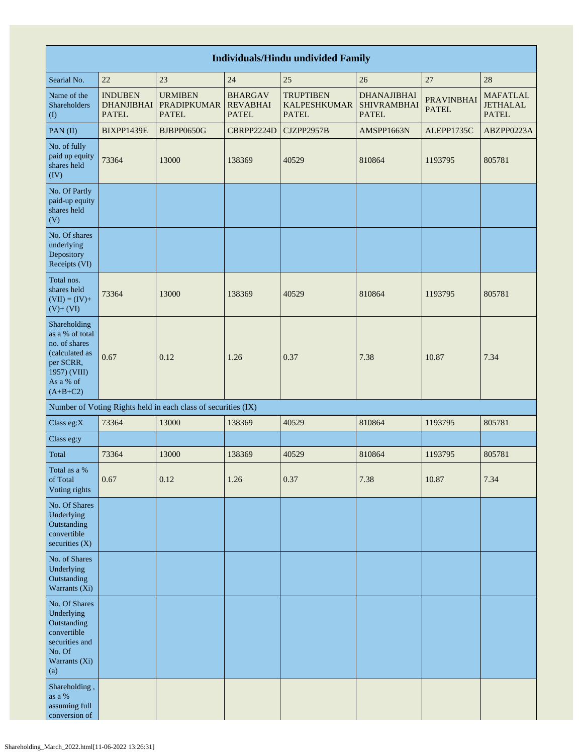| <b>Individuals/Hindu undivided Family</b>                                                                                  |                                                     |                                                               |                                                   |                                                         |                                                          |                                   |                                                    |
|----------------------------------------------------------------------------------------------------------------------------|-----------------------------------------------------|---------------------------------------------------------------|---------------------------------------------------|---------------------------------------------------------|----------------------------------------------------------|-----------------------------------|----------------------------------------------------|
| Searial No.                                                                                                                | 22                                                  | 23                                                            | 24                                                | 25                                                      | 26                                                       | 27                                | 28                                                 |
| Name of the<br>Shareholders<br>$\left( \mathrm{I}\right)$                                                                  | <b>INDUBEN</b><br><b>DHANJIBHAI</b><br><b>PATEL</b> | <b>URMIBEN</b><br><b>PRADIPKUMAR</b><br><b>PATEL</b>          | <b>BHARGAV</b><br><b>REVABHAI</b><br><b>PATEL</b> | <b>TRUPTIBEN</b><br><b>KALPESHKUMAR</b><br><b>PATEL</b> | <b>DHANAJIBHAI</b><br><b>SHIVRAMBHAI</b><br><b>PATEL</b> | <b>PRAVINBHAI</b><br><b>PATEL</b> | <b>MAFATLAL</b><br><b>JETHALAL</b><br><b>PATEL</b> |
| PAN(II)                                                                                                                    | BIXPP1439E                                          | BJBPP0650G                                                    | CBRPP2224D                                        | CJZPP2957B                                              | AMSPP1663N                                               | ALEPP1735C                        | ABZPP0223A                                         |
| No. of fully<br>paid up equity<br>shares held<br>(IV)                                                                      | 73364                                               | 13000                                                         | 138369                                            | 40529                                                   | 810864                                                   | 1193795                           | 805781                                             |
| No. Of Partly<br>paid-up equity<br>shares held<br>(V)                                                                      |                                                     |                                                               |                                                   |                                                         |                                                          |                                   |                                                    |
| No. Of shares<br>underlying<br>Depository<br>Receipts (VI)                                                                 |                                                     |                                                               |                                                   |                                                         |                                                          |                                   |                                                    |
| Total nos.<br>shares held<br>$(VII) = (IV) +$<br>$(V)$ + $(VI)$                                                            | 73364                                               | 13000                                                         | 138369                                            | 40529                                                   | 810864                                                   | 1193795                           | 805781                                             |
| Shareholding<br>as a % of total<br>no. of shares<br>(calculated as<br>per SCRR,<br>1957) (VIII)<br>As a % of<br>$(A+B+C2)$ | 0.67                                                | 0.12                                                          | 1.26                                              | 0.37                                                    | 7.38                                                     | 10.87                             | 7.34                                               |
|                                                                                                                            |                                                     | Number of Voting Rights held in each class of securities (IX) |                                                   |                                                         |                                                          |                                   |                                                    |
| Class eg:X                                                                                                                 | 73364                                               | 13000                                                         | 138369                                            | 40529                                                   | 810864                                                   | 1193795                           | 805781                                             |
| Class eg:y                                                                                                                 |                                                     |                                                               |                                                   |                                                         |                                                          |                                   |                                                    |
| Total                                                                                                                      | 73364                                               | 13000                                                         | 138369                                            | 40529                                                   | 810864                                                   | 1193795                           | 805781                                             |
| Total as a %<br>of Total<br>Voting rights                                                                                  | 0.67                                                | 0.12                                                          | 1.26                                              | 0.37                                                    | 7.38                                                     | 10.87                             | 7.34                                               |
| No. Of Shares<br>Underlying<br>Outstanding<br>convertible<br>securities (X)                                                |                                                     |                                                               |                                                   |                                                         |                                                          |                                   |                                                    |
| No. of Shares<br>Underlying<br>Outstanding<br>Warrants (Xi)                                                                |                                                     |                                                               |                                                   |                                                         |                                                          |                                   |                                                    |
| No. Of Shares<br>Underlying<br>Outstanding<br>convertible<br>securities and<br>No. Of<br>Warrants (Xi)<br>(a)              |                                                     |                                                               |                                                   |                                                         |                                                          |                                   |                                                    |
| Shareholding,<br>as a $\%$<br>assuming full<br>conversion of                                                               |                                                     |                                                               |                                                   |                                                         |                                                          |                                   |                                                    |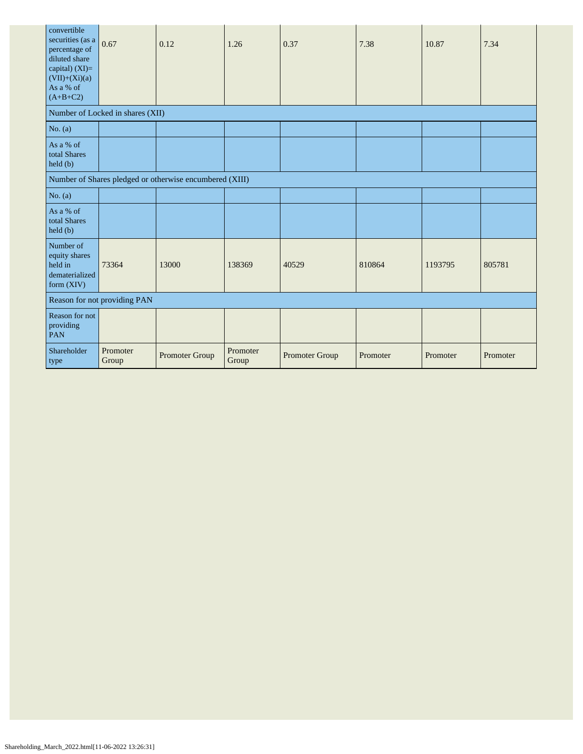| convertible<br>securities (as a<br>percentage of<br>diluted share<br>capital) $(XI)=$<br>$(VII)+(Xi)(a)$<br>As a % of<br>$(A+B+C2)$ | 0.67                             | 0.12                                                    | 1.26              | 0.37           | 7.38     | 10.87    | 7.34     |
|-------------------------------------------------------------------------------------------------------------------------------------|----------------------------------|---------------------------------------------------------|-------------------|----------------|----------|----------|----------|
|                                                                                                                                     | Number of Locked in shares (XII) |                                                         |                   |                |          |          |          |
| No. $(a)$                                                                                                                           |                                  |                                                         |                   |                |          |          |          |
| As a % of<br>total Shares<br>$\text{held}(\text{b})$                                                                                |                                  |                                                         |                   |                |          |          |          |
|                                                                                                                                     |                                  | Number of Shares pledged or otherwise encumbered (XIII) |                   |                |          |          |          |
| No. (a)                                                                                                                             |                                  |                                                         |                   |                |          |          |          |
| As a % of<br>total Shares<br>held (b)                                                                                               |                                  |                                                         |                   |                |          |          |          |
| Number of<br>equity shares<br>held in<br>dematerialized<br>form (XIV)                                                               | 73364                            | 13000                                                   | 138369            | 40529          | 810864   | 1193795  | 805781   |
| Reason for not providing PAN                                                                                                        |                                  |                                                         |                   |                |          |          |          |
| Reason for not<br>providing<br><b>PAN</b>                                                                                           |                                  |                                                         |                   |                |          |          |          |
| Shareholder<br>type                                                                                                                 | Promoter<br>Group                | Promoter Group                                          | Promoter<br>Group | Promoter Group | Promoter | Promoter | Promoter |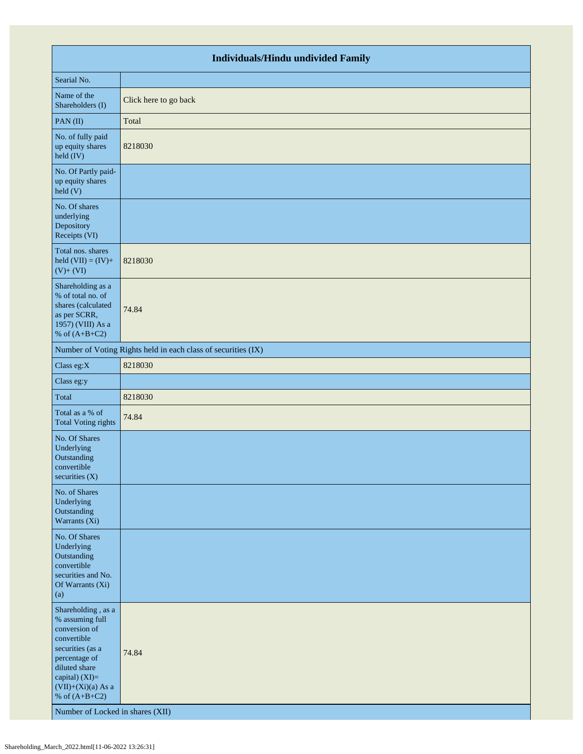| <b>Individuals/Hindu undivided Family</b>                                                                                                                                                                                    |                                                               |  |  |  |  |
|------------------------------------------------------------------------------------------------------------------------------------------------------------------------------------------------------------------------------|---------------------------------------------------------------|--|--|--|--|
| Searial No.                                                                                                                                                                                                                  |                                                               |  |  |  |  |
| Name of the<br>Shareholders (I)                                                                                                                                                                                              | Click here to go back                                         |  |  |  |  |
| PAN(II)                                                                                                                                                                                                                      | Total                                                         |  |  |  |  |
| No. of fully paid<br>up equity shares<br>held (IV)                                                                                                                                                                           | 8218030                                                       |  |  |  |  |
| No. Of Partly paid-<br>up equity shares<br>held (V)                                                                                                                                                                          |                                                               |  |  |  |  |
| No. Of shares<br>underlying<br>Depository<br>Receipts (VI)                                                                                                                                                                   |                                                               |  |  |  |  |
| Total nos. shares<br>held $(VII) = (IV) +$<br>$(V)+(VI)$                                                                                                                                                                     | 8218030                                                       |  |  |  |  |
| Shareholding as a<br>% of total no. of<br>shares (calculated<br>as per SCRR,<br>1957) (VIII) As a<br>% of $(A+B+C2)$                                                                                                         | 74.84                                                         |  |  |  |  |
|                                                                                                                                                                                                                              | Number of Voting Rights held in each class of securities (IX) |  |  |  |  |
| Class eg:X                                                                                                                                                                                                                   | 8218030                                                       |  |  |  |  |
| Class eg:y                                                                                                                                                                                                                   |                                                               |  |  |  |  |
| Total                                                                                                                                                                                                                        | 8218030                                                       |  |  |  |  |
| Total as a % of<br><b>Total Voting rights</b>                                                                                                                                                                                | 74.84                                                         |  |  |  |  |
| No. Of Shares<br>Underlying<br>Outstanding<br>convertible<br>securities $(X)$                                                                                                                                                |                                                               |  |  |  |  |
| No. of Shares<br>Underlying<br>Outstanding<br>Warrants (Xi)                                                                                                                                                                  |                                                               |  |  |  |  |
| No. Of Shares<br>Underlying<br>Outstanding<br>convertible<br>securities and No.<br>Of Warrants (Xi)<br>(a)                                                                                                                   |                                                               |  |  |  |  |
| Shareholding, as a<br>% assuming full<br>conversion of<br>convertible<br>securities (as a<br>percentage of<br>diluted share<br>capital) (XI)=<br>$(VII)+(Xi)(a)$ As a<br>% of $(A+B+C2)$<br>Number of Locked in shares (XII) | 74.84                                                         |  |  |  |  |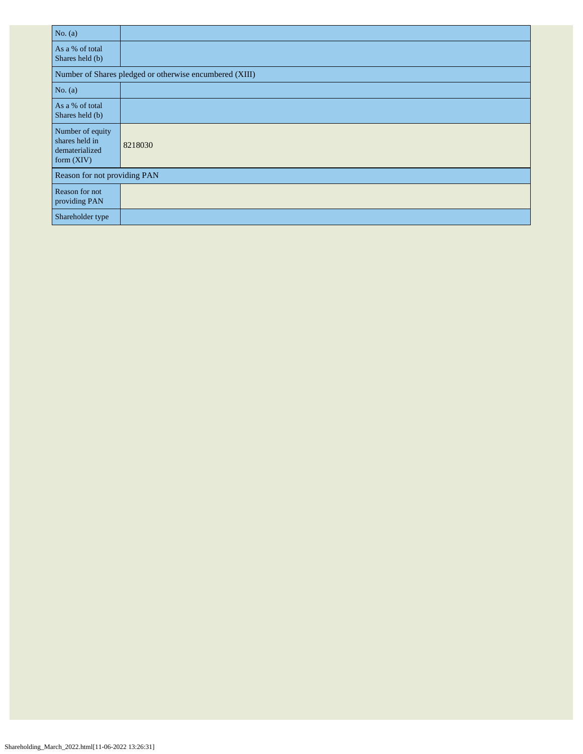| No. $(a)$                                                            |                                                         |
|----------------------------------------------------------------------|---------------------------------------------------------|
| As a % of total<br>Shares held (b)                                   |                                                         |
|                                                                      | Number of Shares pledged or otherwise encumbered (XIII) |
| No. $(a)$                                                            |                                                         |
| As a % of total<br>Shares held (b)                                   |                                                         |
| Number of equity<br>shares held in<br>dematerialized<br>form $(XIV)$ | 8218030                                                 |
| Reason for not providing PAN                                         |                                                         |
| Reason for not<br>providing PAN                                      |                                                         |
| Shareholder type                                                     |                                                         |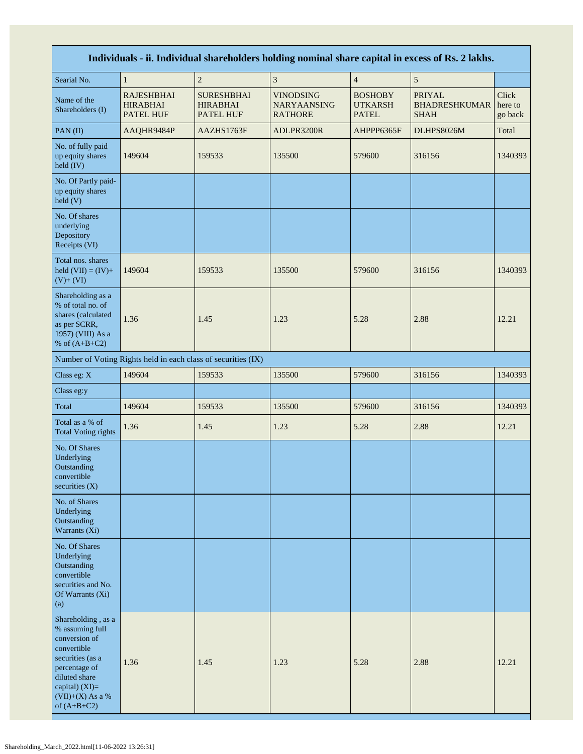| Individuals - ii. Individual shareholders holding nominal share capital in excess of Rs. 2 lakhs.                                                                                    |                                                               |                                                          |                                                          |                                                  |                                                      |                             |  |
|--------------------------------------------------------------------------------------------------------------------------------------------------------------------------------------|---------------------------------------------------------------|----------------------------------------------------------|----------------------------------------------------------|--------------------------------------------------|------------------------------------------------------|-----------------------------|--|
| Searial No.                                                                                                                                                                          | $\mathbf{1}$                                                  | $\overline{c}$                                           | $\mathfrak{Z}$                                           | $\overline{4}$                                   | $\sqrt{5}$                                           |                             |  |
| Name of the<br>Shareholders (I)                                                                                                                                                      | <b>RAJESHBHAI</b><br><b>HIRABHAI</b><br><b>PATEL HUF</b>      | <b>SURESHBHAI</b><br><b>HIRABHAI</b><br><b>PATEL HUF</b> | <b>VINODSING</b><br><b>NARYAANSING</b><br><b>RATHORE</b> | <b>BOSHOBY</b><br><b>UTKARSH</b><br><b>PATEL</b> | <b>PRIYAL</b><br><b>BHADRESHKUMAR</b><br><b>SHAH</b> | Click<br>here to<br>go back |  |
| PAN(II)                                                                                                                                                                              | AAQHR9484P                                                    | AAZHS1763F                                               | ADLPR3200R                                               | AHPPP6365F                                       | DLHPS8026M                                           | Total                       |  |
| No. of fully paid<br>up equity shares<br>held (IV)                                                                                                                                   | 149604                                                        | 159533                                                   | 135500                                                   | 579600                                           | 316156                                               | 1340393                     |  |
| No. Of Partly paid-<br>up equity shares<br>held (V)                                                                                                                                  |                                                               |                                                          |                                                          |                                                  |                                                      |                             |  |
| No. Of shares<br>underlying<br>Depository<br>Receipts (VI)                                                                                                                           |                                                               |                                                          |                                                          |                                                  |                                                      |                             |  |
| Total nos. shares<br>held $(VII) = (IV) +$<br>$(V)+(VI)$                                                                                                                             | 149604                                                        | 159533                                                   | 135500                                                   | 579600                                           | 316156                                               | 1340393                     |  |
| Shareholding as a<br>% of total no. of<br>shares (calculated<br>as per SCRR,<br>1957) (VIII) As a<br>% of $(A+B+C2)$                                                                 | 1.36                                                          | 1.45                                                     | 1.23                                                     | 5.28                                             | 2.88                                                 | 12.21                       |  |
|                                                                                                                                                                                      | Number of Voting Rights held in each class of securities (IX) |                                                          |                                                          |                                                  |                                                      |                             |  |
| Class eg: X                                                                                                                                                                          | 149604                                                        | 159533                                                   | 135500                                                   | 579600                                           | 316156                                               | 1340393                     |  |
| Class eg:y                                                                                                                                                                           |                                                               |                                                          |                                                          |                                                  |                                                      |                             |  |
| Total                                                                                                                                                                                | 149604                                                        | 159533                                                   | 135500                                                   | 579600                                           | 316156                                               | 1340393                     |  |
| Total as a % of<br><b>Total Voting rights</b>                                                                                                                                        | 1.36                                                          | 1.45                                                     | 1.23                                                     | 5.28                                             | 2.88                                                 | 12.21                       |  |
| No. Of Shares<br>Underlying<br>Outstanding<br>convertible<br>securities $(X)$                                                                                                        |                                                               |                                                          |                                                          |                                                  |                                                      |                             |  |
| No. of Shares<br>Underlying<br>Outstanding<br>Warrants (Xi)                                                                                                                          |                                                               |                                                          |                                                          |                                                  |                                                      |                             |  |
| No. Of Shares<br>Underlying<br>Outstanding<br>convertible<br>securities and No.<br>Of Warrants (Xi)<br>(a)                                                                           |                                                               |                                                          |                                                          |                                                  |                                                      |                             |  |
| Shareholding, as a<br>% assuming full<br>conversion of<br>convertible<br>securities (as a<br>percentage of<br>diluted share<br>capital) (XI)=<br>$(VII)+(X)$ As a %<br>of $(A+B+C2)$ | 1.36                                                          | 1.45                                                     | 1.23                                                     | 5.28                                             | 2.88                                                 | 12.21                       |  |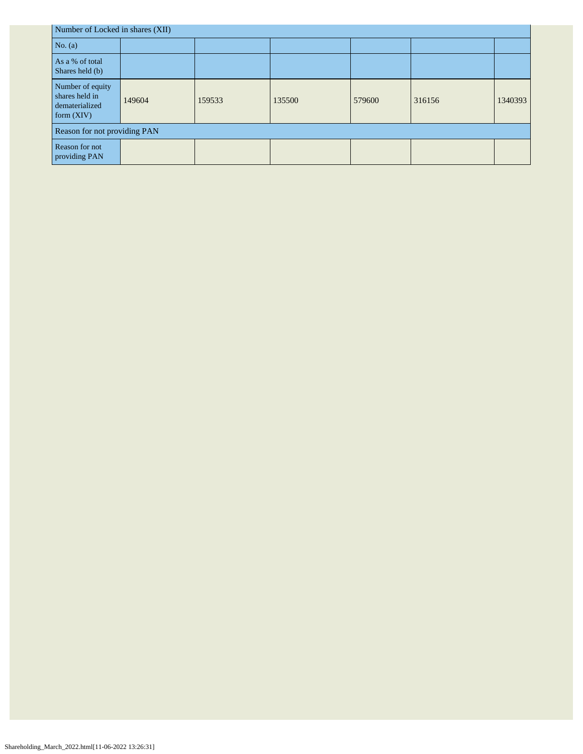| Number of Locked in shares (XII)                                     |        |        |        |        |        |         |  |
|----------------------------------------------------------------------|--------|--------|--------|--------|--------|---------|--|
| No. $(a)$                                                            |        |        |        |        |        |         |  |
| As a % of total<br>Shares held (b)                                   |        |        |        |        |        |         |  |
| Number of equity<br>shares held in<br>dematerialized<br>form $(XIV)$ | 149604 | 159533 | 135500 | 579600 | 316156 | 1340393 |  |
| Reason for not providing PAN                                         |        |        |        |        |        |         |  |
| Reason for not<br>providing PAN                                      |        |        |        |        |        |         |  |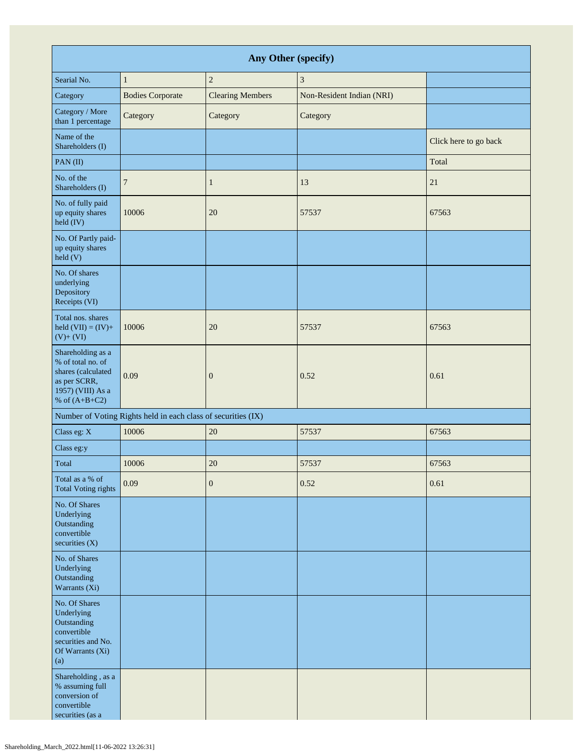| Any Other (specify)                                                                                                  |                                                               |                         |                           |                       |  |  |
|----------------------------------------------------------------------------------------------------------------------|---------------------------------------------------------------|-------------------------|---------------------------|-----------------------|--|--|
| Searial No.                                                                                                          | $\mathbf{1}$                                                  | $\sqrt{2}$              | $\mathfrak{Z}$            |                       |  |  |
| Category                                                                                                             | <b>Bodies Corporate</b>                                       | <b>Clearing Members</b> | Non-Resident Indian (NRI) |                       |  |  |
| Category / More<br>than 1 percentage                                                                                 | Category                                                      | Category                | Category                  |                       |  |  |
| Name of the<br>Shareholders (I)                                                                                      |                                                               |                         |                           | Click here to go back |  |  |
| PAN(II)                                                                                                              |                                                               |                         |                           | Total                 |  |  |
| No. of the<br>Shareholders (I)                                                                                       | $\overline{7}$                                                | 1                       | 13                        | 21                    |  |  |
| No. of fully paid<br>up equity shares<br>held (IV)                                                                   | 10006                                                         | 20                      | 57537                     | 67563                 |  |  |
| No. Of Partly paid-<br>up equity shares<br>held(V)                                                                   |                                                               |                         |                           |                       |  |  |
| No. Of shares<br>underlying<br>Depository<br>Receipts (VI)                                                           |                                                               |                         |                           |                       |  |  |
| Total nos. shares<br>held $(VII) = (IV) +$<br>$(V)$ + $(VI)$                                                         | 10006                                                         | 20                      | 57537                     | 67563                 |  |  |
| Shareholding as a<br>% of total no. of<br>shares (calculated<br>as per SCRR,<br>1957) (VIII) As a<br>% of $(A+B+C2)$ | 0.09                                                          | $\mathbf{0}$            | 0.52                      | 0.61                  |  |  |
|                                                                                                                      | Number of Voting Rights held in each class of securities (IX) |                         |                           |                       |  |  |
| Class eg: X                                                                                                          | 10006                                                         | 20                      | 57537                     | 67563                 |  |  |
| Class eg:y                                                                                                           |                                                               |                         |                           |                       |  |  |
| Total                                                                                                                | 10006                                                         | 20                      | 57537                     | 67563                 |  |  |
| Total as a % of<br><b>Total Voting rights</b>                                                                        | 0.09                                                          | $\mathbf{0}$            | 0.52                      | 0.61                  |  |  |
| No. Of Shares<br>Underlying<br>Outstanding<br>convertible<br>securities (X)                                          |                                                               |                         |                           |                       |  |  |
| No. of Shares<br>Underlying<br>Outstanding<br>Warrants (Xi)                                                          |                                                               |                         |                           |                       |  |  |
| No. Of Shares<br>Underlying<br>Outstanding<br>convertible<br>securities and No.<br>Of Warrants (Xi)<br>(a)           |                                                               |                         |                           |                       |  |  |
| Shareholding, as a<br>% assuming full<br>conversion of<br>convertible<br>securities (as a                            |                                                               |                         |                           |                       |  |  |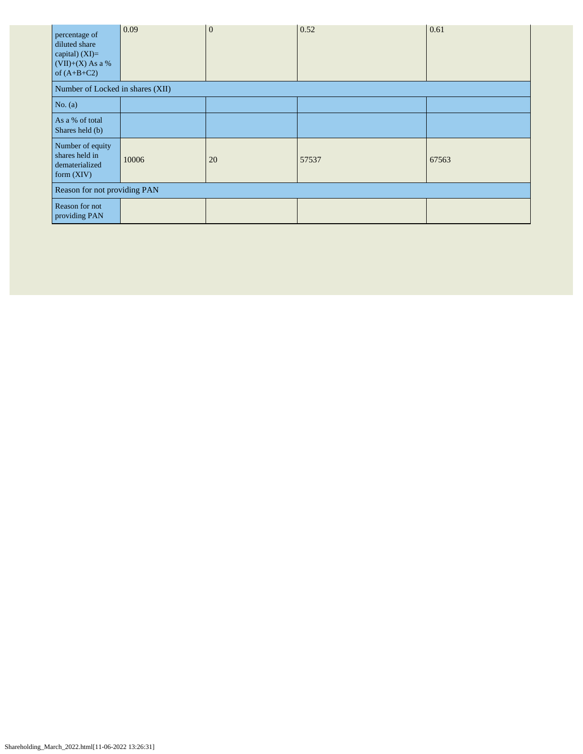| percentage of<br>diluted share<br>capital) (XI)=<br>$(VII)+(X)$ As a %<br>of $(A+B+C2)$ | 0.09  | $\overline{0}$ | 0.52  | 0.61  |  |  |
|-----------------------------------------------------------------------------------------|-------|----------------|-------|-------|--|--|
| Number of Locked in shares (XII)                                                        |       |                |       |       |  |  |
| No. (a)                                                                                 |       |                |       |       |  |  |
| As a % of total<br>Shares held (b)                                                      |       |                |       |       |  |  |
| Number of equity<br>shares held in<br>dematerialized<br>form $(XIV)$                    | 10006 | 20             | 57537 | 67563 |  |  |
| Reason for not providing PAN                                                            |       |                |       |       |  |  |
| Reason for not<br>providing PAN                                                         |       |                |       |       |  |  |